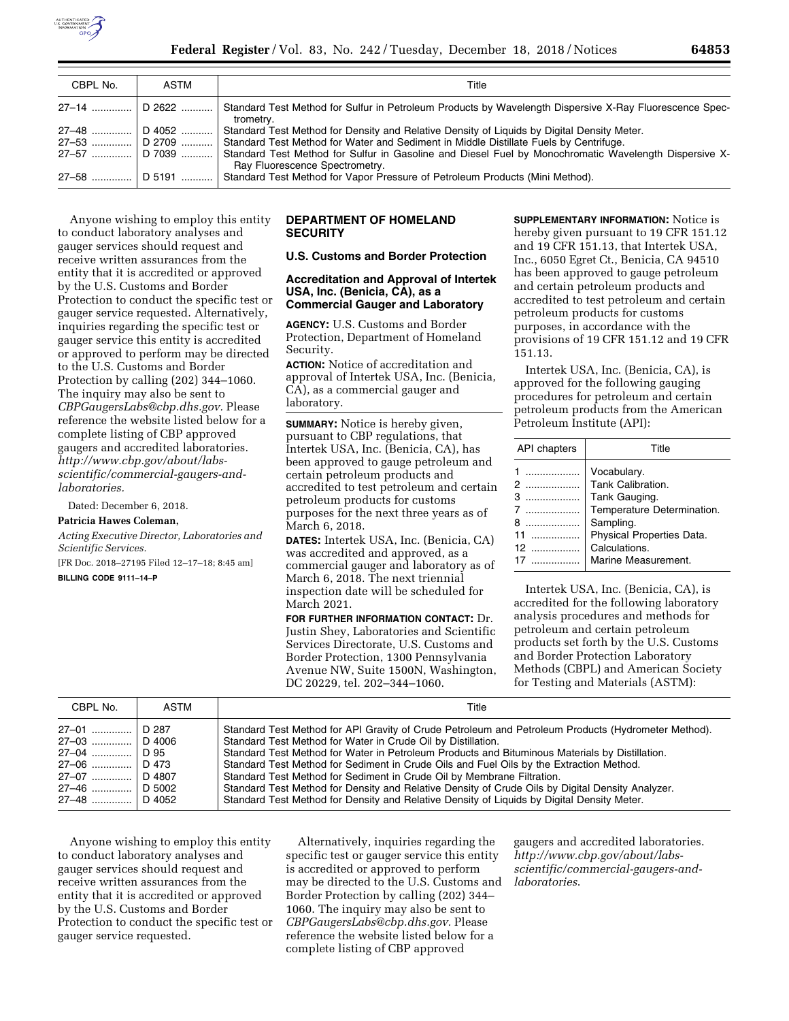

| CBPL No.         | ASTM          | Title                                                                                                                                   |
|------------------|---------------|-----------------------------------------------------------------------------------------------------------------------------------------|
| 27–14    D 2622  |               | Standard Test Method for Sulfur in Petroleum Products by Wavelength Dispersive X-Ray Fluorescence Spec-<br>trometry.                    |
| 27-48            | $\mid$ D 4052 | Standard Test Method for Density and Relative Density of Liquids by Digital Density Meter.                                              |
| $27-53$   D 2709 |               | Standard Test Method for Water and Sediment in Middle Distillate Fuels by Centrifuge.                                                   |
| 27-57    D 7039  |               | Standard Test Method for Sulfur in Gasoline and Diesel Fuel by Monochromatic Wavelength Dispersive X-<br>Ray Fluorescence Spectrometry. |
| $27 - 58$        | $\mid$ D 5191 | Standard Test Method for Vapor Pressure of Petroleum Products (Mini Method).                                                            |

Anyone wishing to employ this entity to conduct laboratory analyses and gauger services should request and receive written assurances from the entity that it is accredited or approved by the U.S. Customs and Border Protection to conduct the specific test or gauger service requested. Alternatively, inquiries regarding the specific test or gauger service this entity is accredited or approved to perform may be directed to the U.S. Customs and Border Protection by calling (202) 344–1060. The inquiry may also be sent to *[CBPGaugersLabs@cbp.dhs.gov.](mailto:CBPGaugersLabs@cbp.dhs.gov)* Please reference the website listed below for a complete listing of CBP approved gaugers and accredited laboratories. *[http://www.cbp.gov/about/labs](http://www.cbp.gov/about/labs-scientific/commercial-gaugers-and-laboratories)[scientific/commercial-gaugers-and](http://www.cbp.gov/about/labs-scientific/commercial-gaugers-and-laboratories)[laboratories.](http://www.cbp.gov/about/labs-scientific/commercial-gaugers-and-laboratories)* 

Dated: December 6, 2018.

### **Patricia Hawes Coleman,**

### *Acting Executive Director, Laboratories and Scientific Services.*

[FR Doc. 2018–27195 Filed 12–17–18; 8:45 am]

**BILLING CODE 9111–14–P** 

## **DEPARTMENT OF HOMELAND SECURITY**

# **U.S. Customs and Border Protection**

## **Accreditation and Approval of Intertek USA, Inc. (Benicia, CA), as a Commercial Gauger and Laboratory**

**AGENCY:** U.S. Customs and Border Protection, Department of Homeland Security.

**ACTION:** Notice of accreditation and approval of Intertek USA, Inc. (Benicia, CA), as a commercial gauger and laboratory.

**SUMMARY:** Notice is hereby given, pursuant to CBP regulations, that Intertek USA, Inc. (Benicia, CA), has been approved to gauge petroleum and certain petroleum products and accredited to test petroleum and certain petroleum products for customs purposes for the next three years as of March 6, 2018.

**DATES:** Intertek USA, Inc. (Benicia, CA) was accredited and approved, as a commercial gauger and laboratory as of March 6, 2018. The next triennial inspection date will be scheduled for March 2021.

**FOR FURTHER INFORMATION CONTACT:** Dr. Justin Shey, Laboratories and Scientific Services Directorate, U.S. Customs and Border Protection, 1300 Pennsylvania Avenue NW, Suite 1500N, Washington, DC 20229, tel. 202–344–1060.

**SUPPLEMENTARY INFORMATION:** Notice is hereby given pursuant to 19 CFR 151.12 and 19 CFR 151.13, that Intertek USA, Inc., 6050 Egret Ct., Benicia, CA 94510 has been approved to gauge petroleum and certain petroleum products and accredited to test petroleum and certain petroleum products for customs purposes, in accordance with the provisions of 19 CFR 151.12 and 19 CFR 151.13.

Intertek USA, Inc. (Benicia, CA), is approved for the following gauging procedures for petroleum and certain petroleum products from the American Petroleum Institute (API):

| API chapters                                                  | Title                                                                                                                                                             |
|---------------------------------------------------------------|-------------------------------------------------------------------------------------------------------------------------------------------------------------------|
| $1$<br>2<br>.<br>З<br>. <b>.</b><br>.<br>.<br>8<br>$12$<br>17 | Vocabulary.<br>Tank Calibration.<br>Tank Gauging.<br>Temperature Determination.<br>Sampling.<br>Physical Properties Data.<br>Calculations.<br>Marine Measurement. |

Intertek USA, Inc. (Benicia, CA), is accredited for the following laboratory analysis procedures and methods for petroleum and certain petroleum products set forth by the U.S. Customs and Border Protection Laboratory Methods (CBPL) and American Society for Testing and Materials (ASTM):

| CBPL No.                                                            | ASTM                                                  | Title                                                                                                                                                                                                                                                                                                                                                                                                                                                                                                                                                                                                                                        |
|---------------------------------------------------------------------|-------------------------------------------------------|----------------------------------------------------------------------------------------------------------------------------------------------------------------------------------------------------------------------------------------------------------------------------------------------------------------------------------------------------------------------------------------------------------------------------------------------------------------------------------------------------------------------------------------------------------------------------------------------------------------------------------------------|
| 27-01<br>27-03<br>27-04<br>27-06<br>27-07<br>27-46<br>27–48  D 4052 | D 287<br>D 4006<br>∣D 95<br>D 473<br>D 4807<br>D 5002 | Standard Test Method for API Gravity of Crude Petroleum and Petroleum Products (Hydrometer Method).<br>Standard Test Method for Water in Crude Oil by Distillation.<br>Standard Test Method for Water in Petroleum Products and Bituminous Materials by Distillation.<br>Standard Test Method for Sediment in Crude Oils and Fuel Oils by the Extraction Method.<br>Standard Test Method for Sediment in Crude Oil by Membrane Filtration.<br>Standard Test Method for Density and Relative Density of Crude Oils by Digital Density Analyzer.<br>Standard Test Method for Density and Relative Density of Liquids by Digital Density Meter. |

Anyone wishing to employ this entity to conduct laboratory analyses and gauger services should request and receive written assurances from the entity that it is accredited or approved by the U.S. Customs and Border Protection to conduct the specific test or gauger service requested.

Alternatively, inquiries regarding the specific test or gauger service this entity is accredited or approved to perform may be directed to the U.S. Customs and Border Protection by calling (202) 344– 1060. The inquiry may also be sent to *[CBPGaugersLabs@cbp.dhs.gov.](mailto:CBPGaugersLabs@cbp.dhs.gov)* Please reference the website listed below for a complete listing of CBP approved

gaugers and accredited laboratories. *[http://www.cbp.gov/about/labs](http://www.cbp.gov/about/labs-scientific/commercial-gaugers-and-laboratories)[scientific/commercial-gaugers-and](http://www.cbp.gov/about/labs-scientific/commercial-gaugers-and-laboratories)[laboratories](http://www.cbp.gov/about/labs-scientific/commercial-gaugers-and-laboratories)*.